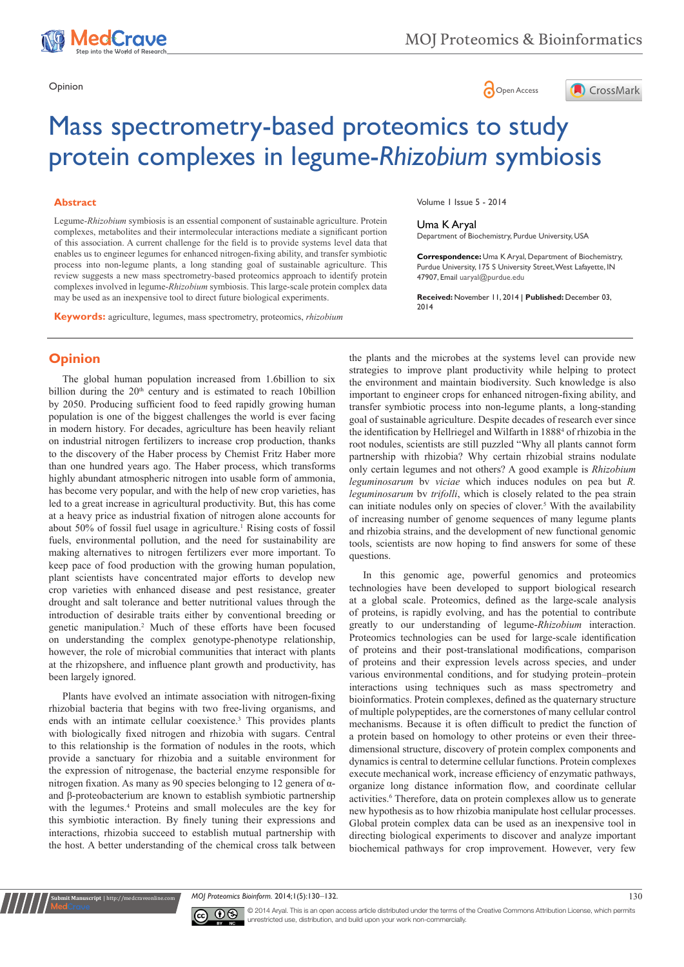





# Mass spectrometry-based proteomics to study protein complexes in legume-*Rhizobium* symbiosis

#### **Abstract**

Legume-*Rhizobium* symbiosis is an essential component of sustainable agriculture. Protein complexes, metabolites and their intermolecular interactions mediate a significant portion of this association. A current challenge for the field is to provide systems level data that enables us to engineer legumes for enhanced nitrogen-fixing ability, and transfer symbiotic process into non-legume plants, a long standing goal of sustainable agriculture. This review suggests a new mass spectrometry-based proteomics approach to identify protein complexes involved in legume-*Rhizobium* symbiosis. This large-scale protein complex data may be used as an inexpensive tool to direct future biological experiments.

**Keywords:** agriculture, legumes, mass spectrometry, proteomics, *rhizobium*

**Opinion**

The global human population increased from 1.6billion to six billion during the  $20<sup>th</sup>$  century and is estimated to reach 10billion by 2050. Producing sufficient food to feed rapidly growing human population is one of the biggest challenges the world is ever facing in modern history. For decades, agriculture has been heavily reliant on industrial nitrogen fertilizers to increase crop production, thanks to the discovery of the Haber process by Chemist Fritz Haber more than one hundred years ago. The Haber process, which transforms highly abundant atmospheric nitrogen into usable form of ammonia, has become very popular, and with the help of new crop varieties, has led to a great increase in agricultural productivity. But, this has come at a heavy price as industrial fixation of nitrogen alone accounts for about 50% of fossil fuel usage in agriculture.<sup>1</sup> Rising costs of fossil fuels, environmental pollution, and the need for sustainability are making alternatives to nitrogen fertilizers ever more important. To keep pace of food production with the growing human population, plant scientists have concentrated major efforts to develop new crop varieties with enhanced disease and pest resistance, greater drought and salt tolerance and better nutritional values through the introduction of desirable traits either by conventional breeding or genetic manipulation.2 Much of these efforts have been focused on understanding the complex genotype-phenotype relationship, however, the role of microbial communities that interact with plants at the rhizopshere, and influence plant growth and productivity, has been largely ignored.

Plants have evolved an intimate association with nitrogen-fixing rhizobial bacteria that begins with two free-living organisms, and ends with an intimate cellular coexistence.<sup>3</sup> This provides plants with biologically fixed nitrogen and rhizobia with sugars. Central to this relationship is the formation of nodules in the roots, which provide a sanctuary for rhizobia and a suitable environment for the expression of nitrogenase, the bacterial enzyme responsible for nitrogen fixation. As many as 90 species belonging to 12 genera of αand β-proteobacterium are known to establish symbiotic partnership with the legumes.<sup>4</sup> Proteins and small molecules are the key for this symbiotic interaction. By finely tuning their expressions and interactions, rhizobia succeed to establish mutual partnership with the host. A better understanding of the chemical cross talk between

Volume 1 Issue 5 - 2014

## Uma K Aryal

Department of Biochemistry, Purdue University, USA

**Correspondence:** Uma K Aryal, Department of Biochemistry, Purdue University, 175 S University Street, West Lafayette, IN 47907, Email uaryal@purdue.edu

**Received:** November 11, 2014 | **Published:** December 03, 2014

the plants and the microbes at the systems level can provide new strategies to improve plant productivity while helping to protect the environment and maintain biodiversity. Such knowledge is also important to engineer crops for enhanced nitrogen-fixing ability, and transfer symbiotic process into non-legume plants, a long-standing goal of sustainable agriculture. Despite decades of research ever since the identification by Hellriegel and Wilfarth in 1888<sup>4</sup> of rhizobia in the root nodules, scientists are still puzzled "Why all plants cannot form partnership with rhizobia? Why certain rhizobial strains nodulate only certain legumes and not others? A good example is *Rhizobium leguminosarum* bv *viciae* which induces nodules on pea but *R. leguminosarum* bv *trifolli*, which is closely related to the pea strain can initiate nodules only on species of clover.<sup>5</sup> With the availability of increasing number of genome sequences of many legume plants and rhizobia strains, and the development of new functional genomic tools, scientists are now hoping to find answers for some of these questions.

In this genomic age, powerful genomics and proteomics technologies have been developed to support biological research at a global scale. Proteomics, defined as the large-scale analysis of proteins, is rapidly evolving, and has the potential to contribute greatly to our understanding of legume-*Rhizobium* interaction. Proteomics technologies can be used for large-scale identification of proteins and their post-translational modifications, comparison of proteins and their expression levels across species, and under various environmental conditions, and for studying protein–protein interactions using techniques such as mass spectrometry and bioinformatics. Protein complexes, defined as the quaternary structure of multiple polypeptides, are the cornerstones of many cellular control mechanisms. Because it is often difficult to predict the function of a protein based on homology to other proteins or even their threedimensional structure, discovery of protein complex components and dynamics is central to determine cellular functions. Protein complexes execute mechanical work, increase efficiency of enzymatic pathways, organize long distance information flow, and coordinate cellular activities.<sup>6</sup> Therefore, data on protein complexes allow us to generate new hypothesis as to how rhizobia manipulate host cellular processes. Global protein complex data can be used as an inexpensive tool in directing biological experiments to discover and analyze important biochemical pathways for crop improvement. However, very few

*MOJ Proteomics Bioinform.* 2014;1(5):130–132. 130<br>
130



**nit Manuscript** | http://medcraveonline

© 2014 Aryal. This is an open access article distributed under the terms of the [Creative Commons Attribution License](https://creativecommons.org/licenses/by-nc/4.0/), which permits unrestricted use, distribution, and build upon your work non-commercially.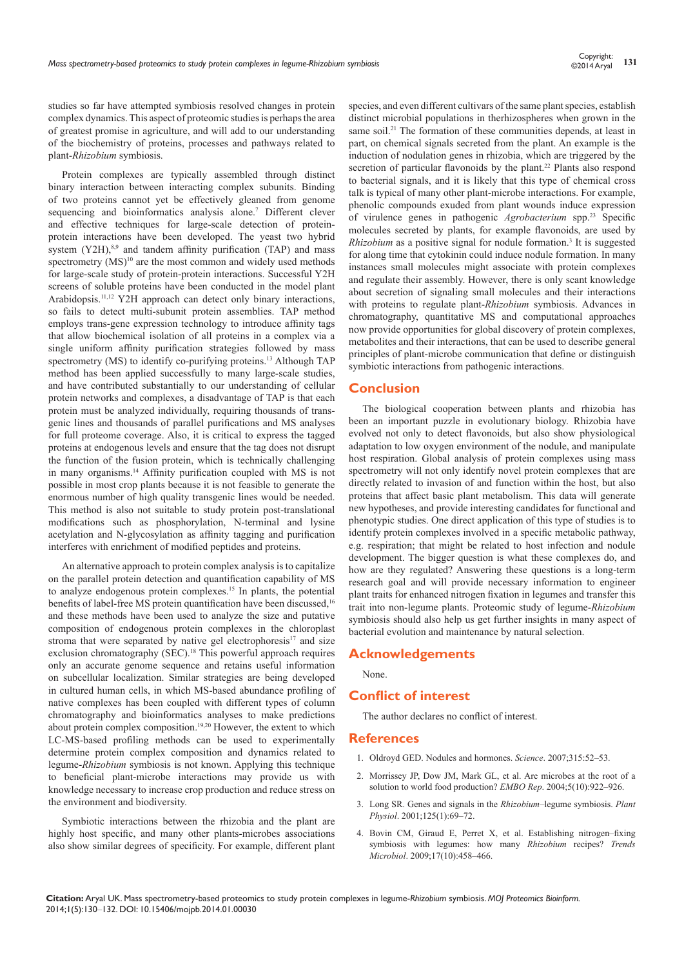studies so far have attempted symbiosis resolved changes in protein complex dynamics. This aspect of proteomic studies is perhaps the area of greatest promise in agriculture, and will add to our understanding of the biochemistry of proteins, processes and pathways related to plant-*Rhizobium* symbiosis.

Protein complexes are typically assembled through distinct binary interaction between interacting complex subunits. Binding of two proteins cannot yet be effectively gleaned from genome sequencing and bioinformatics analysis alone.<sup>7</sup> Different clever and effective techniques for large-scale detection of proteinprotein interactions have been developed. The yeast two hybrid system  $(Y2H)$ ,<sup>8,9</sup> and tandem affinity purification (TAP) and mass spectrometry  $(MS)^{10}$  are the most common and widely used methods for large-scale study of protein-protein interactions. Successful Y2H screens of soluble proteins have been conducted in the model plant Arabidopsis.<sup>11,12</sup> Y2H approach can detect only binary interactions, so fails to detect multi-subunit protein assemblies. TAP method employs trans-gene expression technology to introduce affinity tags that allow biochemical isolation of all proteins in a complex via a single uniform affinity purification strategies followed by mass spectrometry (MS) to identify co-purifying proteins.<sup>13</sup> Although TAP method has been applied successfully to many large-scale studies, and have contributed substantially to our understanding of cellular protein networks and complexes, a disadvantage of TAP is that each protein must be analyzed individually, requiring thousands of transgenic lines and thousands of parallel purifications and MS analyses for full proteome coverage. Also, it is critical to express the tagged proteins at endogenous levels and ensure that the tag does not disrupt the function of the fusion protein, which is technically challenging in many organisms.14 Affinity purification coupled with MS is not possible in most crop plants because it is not feasible to generate the enormous number of high quality transgenic lines would be needed. This method is also not suitable to study protein post-translational modifications such as phosphorylation, N-terminal and lysine acetylation and N-glycosylation as affinity tagging and purification interferes with enrichment of modified peptides and proteins.

An alternative approach to protein complex analysis is to capitalize on the parallel protein detection and quantification capability of MS to analyze endogenous protein complexes.15 In plants, the potential benefits of label-free MS protein quantification have been discussed,<sup>16</sup> and these methods have been used to analyze the size and putative composition of endogenous protein complexes in the chloroplast stroma that were separated by native gel electrophoresis $17$  and size exclusion chromatography (SEC).<sup>18</sup> This powerful approach requires only an accurate genome sequence and retains useful information on subcellular localization. Similar strategies are being developed in cultured human cells, in which MS-based abundance profiling of native complexes has been coupled with different types of column chromatography and bioinformatics analyses to make predictions about protein complex composition.<sup>19,20</sup> However, the extent to which LC-MS-based profiling methods can be used to experimentally determine protein complex composition and dynamics related to legume-*Rhizobium* symbiosis is not known. Applying this technique to beneficial plant-microbe interactions may provide us with knowledge necessary to increase crop production and reduce stress on the environment and biodiversity.

Symbiotic interactions between the rhizobia and the plant are highly host specific, and many other plants-microbes associations also show similar degrees of specificity. For example, different plant species, and even different cultivars of the same plant species, establish distinct microbial populations in therhizospheres when grown in the same soil.<sup>21</sup> The formation of these communities depends, at least in part, on chemical signals secreted from the plant. An example is the induction of nodulation genes in rhizobia, which are triggered by the secretion of particular flavonoids by the plant.<sup>22</sup> Plants also respond to bacterial signals, and it is likely that this type of chemical cross talk is typical of many other plant-microbe interactions. For example, phenolic compounds exuded from plant wounds induce expression of virulence genes in pathogenic *Agrobacterium* spp.23 Specific molecules secreted by plants, for example flavonoids, are used by *Rhizobium* as a positive signal for nodule formation.<sup>3</sup> It is suggested for along time that cytokinin could induce nodule formation. In many instances small molecules might associate with protein complexes and regulate their assembly. However, there is only scant knowledge about secretion of signaling small molecules and their interactions with proteins to regulate plant-*Rhizobium* symbiosis. Advances in chromatography, quantitative MS and computational approaches now provide opportunities for global discovery of protein complexes, metabolites and their interactions, that can be used to describe general principles of plant-microbe communication that define or distinguish symbiotic interactions from pathogenic interactions.

## **Conclusion**

The biological cooperation between plants and rhizobia has been an important puzzle in evolutionary biology. Rhizobia have evolved not only to detect flavonoids, but also show physiological adaptation to low oxygen environment of the nodule, and manipulate host respiration. Global analysis of protein complexes using mass spectrometry will not only identify novel protein complexes that are directly related to invasion of and function within the host, but also proteins that affect basic plant metabolism. This data will generate new hypotheses, and provide interesting candidates for functional and phenotypic studies. One direct application of this type of studies is to identify protein complexes involved in a specific metabolic pathway, e.g. respiration; that might be related to host infection and nodule development. The bigger question is what these complexes do, and how are they regulated? Answering these questions is a long-term research goal and will provide necessary information to engineer plant traits for enhanced nitrogen fixation in legumes and transfer this trait into non-legume plants. Proteomic study of legume-*Rhizobium* symbiosis should also help us get further insights in many aspect of bacterial evolution and maintenance by natural selection.

## **Acknowledgements**

None.

# **Conflict of interest**

The author declares no conflict of interest.

#### **References**

- 1. [Oldroyd GED. Nodules and hormones.](http://www.sciencemag.org/content/315/5808/52) *Science*. 2007;315:52–53.
- 2. [Morrissey JP, Dow JM, Mark GL, et al. Are microbes at the root of a](http://www.ncbi.nlm.nih.gov/pmc/articles/PMC1299160/)  [solution to world food production?](http://www.ncbi.nlm.nih.gov/pmc/articles/PMC1299160/) *EMBO Rep*. 2004;5(10):922–926.
- 3. [Long SR. Genes and signals in the](http://www.ncbi.nlm.nih.gov/pmc/articles/PMC1539328/) *Rhizobium*–legume symbiosis. *Plant Physiol*[. 2001;125\(1\):69–72.](http://www.ncbi.nlm.nih.gov/pmc/articles/PMC1539328/)
- 4. [Bovin CM, Giraud E, Perret X, et al. Establishing nitrogen–fixing](http://www.ncbi.nlm.nih.gov/pubmed/19766492)  [symbiosis with legumes: how many](http://www.ncbi.nlm.nih.gov/pubmed/19766492) *Rhizobium* recipes? *Trends Microbiol*[. 2009;17\(10\):458–466.](http://www.ncbi.nlm.nih.gov/pubmed/19766492)